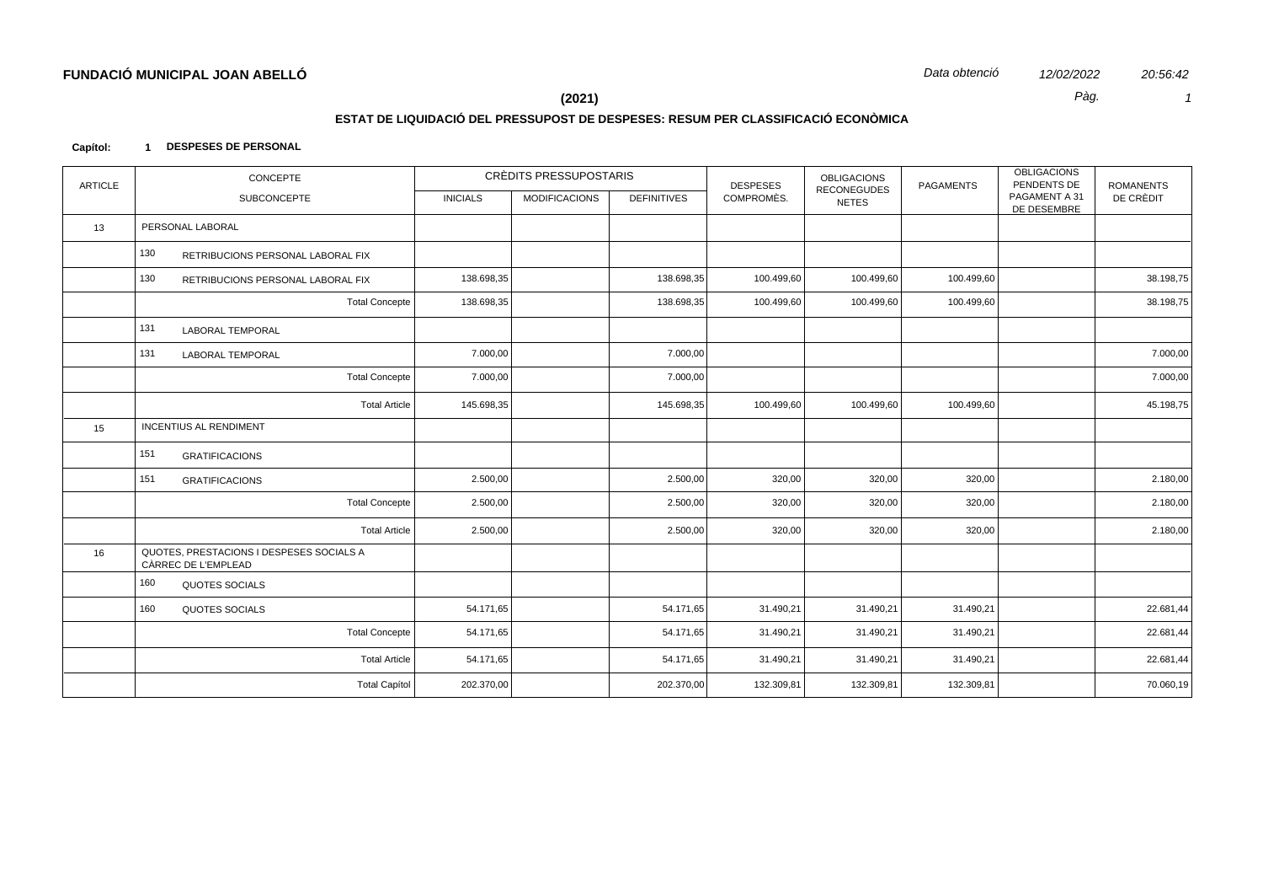Pàg.

20:56:42

 $\mathcal{I}$ 

 $(2021)$ 

# ESTAT DE LIQUIDACIÓ DEL PRESSUPOST DE DESPESES: RESUM PER CLASSIFICACIÓ ECONÒMICA

#### Capítol: 1 DESPESES DE PERSONAL

| <b>ARTICLE</b> | CONCEPTE                                                        |                 | CRÈDITS PRESSUPOSTARIS |                    | <b>DESPESES</b> | <b>OBLIGACIONS</b>                 | <b>PAGAMENTS</b> | <b>OBLIGACIONS</b><br>PENDENTS DE | <b>ROMANENTS</b> |
|----------------|-----------------------------------------------------------------|-----------------|------------------------|--------------------|-----------------|------------------------------------|------------------|-----------------------------------|------------------|
|                | SUBCONCEPTE                                                     | <b>INICIALS</b> | <b>MODIFICACIONS</b>   | <b>DEFINITIVES</b> | COMPROMÈS.      | <b>RECONEGUDES</b><br><b>NETES</b> |                  | PAGAMENT A 31<br>DE DESEMBRE      | DE CRÈDIT        |
| 13             | PERSONAL LABORAL                                                |                 |                        |                    |                 |                                    |                  |                                   |                  |
|                | 130<br>RETRIBUCIONS PERSONAL LABORAL FIX                        |                 |                        |                    |                 |                                    |                  |                                   |                  |
|                | 130<br>RETRIBUCIONS PERSONAL LABORAL FIX                        | 138.698,35      |                        | 138.698,35         | 100.499,60      | 100.499,60                         | 100.499,60       |                                   | 38.198,75        |
|                | <b>Total Concepte</b>                                           | 138.698,35      |                        | 138.698,35         | 100.499,60      | 100.499,60                         | 100.499,60       |                                   | 38.198,75        |
|                | 131<br><b>LABORAL TEMPORAL</b>                                  |                 |                        |                    |                 |                                    |                  |                                   |                  |
|                | 131<br><b>LABORAL TEMPORAL</b>                                  | 7.000,00        |                        | 7.000,00           |                 |                                    |                  |                                   | 7.000,00         |
|                | <b>Total Concepte</b>                                           | 7.000,00        |                        | 7.000,00           |                 |                                    |                  |                                   | 7.000,00         |
|                | <b>Total Article</b>                                            | 145.698,35      |                        | 145.698,35         | 100.499,60      | 100.499,60                         | 100.499,60       |                                   | 45.198,75        |
| 15             | <b>INCENTIUS AL RENDIMENT</b>                                   |                 |                        |                    |                 |                                    |                  |                                   |                  |
|                | 151<br><b>GRATIFICACIONS</b>                                    |                 |                        |                    |                 |                                    |                  |                                   |                  |
|                | 151<br><b>GRATIFICACIONS</b>                                    | 2.500,00        |                        | 2.500,00           | 320,00          | 320,00                             | 320,00           |                                   | 2.180,00         |
|                | <b>Total Concepte</b>                                           | 2.500,00        |                        | 2.500,00           | 320,00          | 320,00                             | 320,00           |                                   | 2.180,00         |
|                | <b>Total Article</b>                                            | 2.500,00        |                        | 2.500,00           | 320,00          | 320,00                             | 320,00           |                                   | 2.180,00         |
| 16             | QUOTES, PRESTACIONS I DESPESES SOCIALS A<br>CÀRREC DE L'EMPLEAD |                 |                        |                    |                 |                                    |                  |                                   |                  |
|                | 160<br>QUOTES SOCIALS                                           |                 |                        |                    |                 |                                    |                  |                                   |                  |
|                | 160<br><b>QUOTES SOCIALS</b>                                    | 54.171,65       |                        | 54.171,65          | 31.490,21       | 31.490,21                          | 31.490,21        |                                   | 22.681,44        |
|                | <b>Total Concepte</b>                                           | 54.171,65       |                        | 54.171,65          | 31.490,21       | 31.490,21                          | 31.490,21        |                                   | 22.681,44        |
|                | <b>Total Article</b>                                            | 54.171,65       |                        | 54.171,65          | 31.490,21       | 31.490,21                          | 31.490,21        |                                   | 22.681,44        |
|                | <b>Total Capítol</b>                                            | 202.370,00      |                        | 202.370,00         | 132.309,81      | 132.309,81                         | 132.309,81       |                                   | 70.060,19        |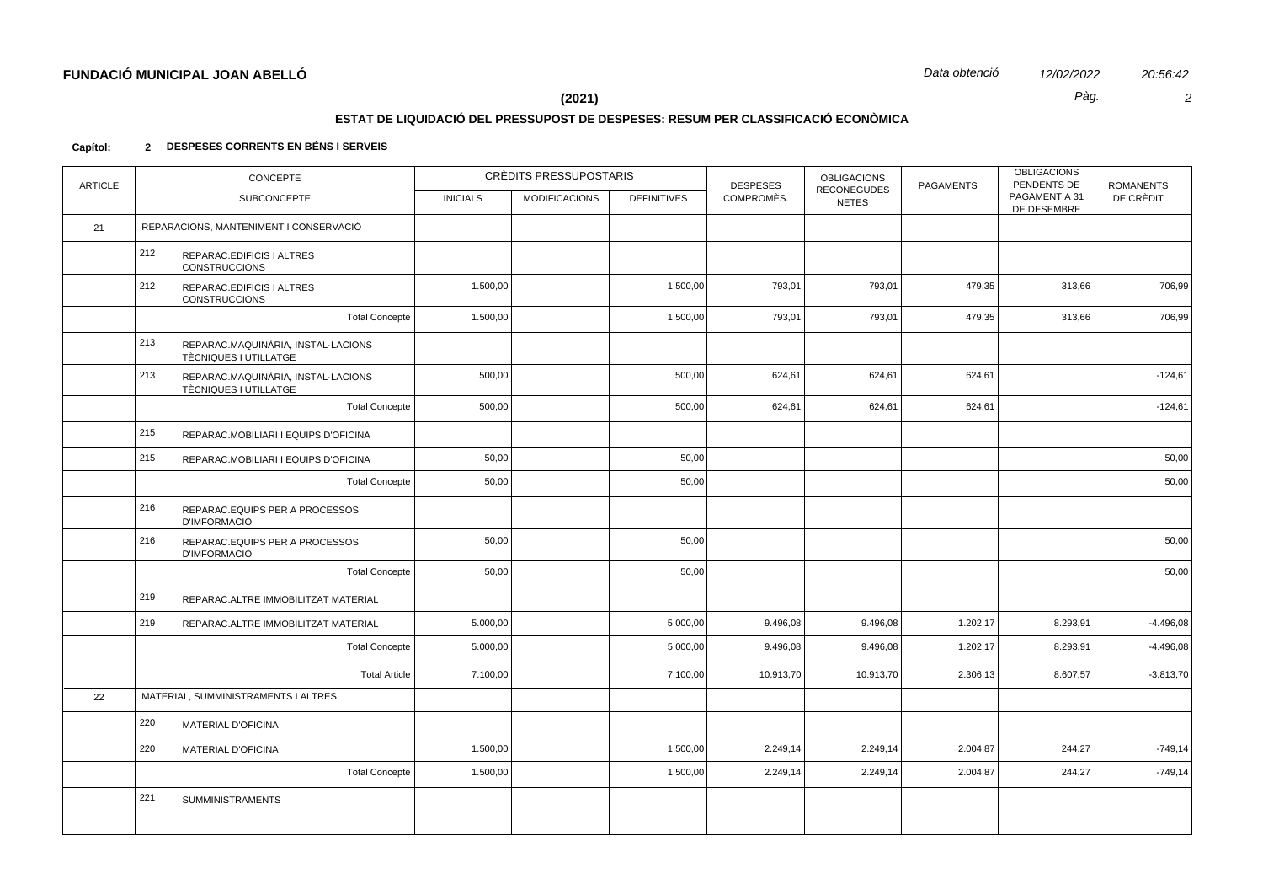$\overline{c}$ 

20:56:42

Pàg.

# $(2021)$

# ESTAT DE LIQUIDACIÓ DEL PRESSUPOST DE DESPESES: RESUM PER CLASSIFICACIÓ ECONÒMICA

### 2 DESPESES CORRENTS EN BÉNS I SERVEIS Capítol:

| <b>ARTICLE</b> | <b>CONCEPTE</b>                                                    | <b>CRÈDITS PRESSUPOSTARIS</b> |                      |                    | <b>DESPESES</b> | <b>OBLIGACIONS</b><br><b>RECONEGUDES</b> | <b>PAGAMENTS</b> | <b>OBLIGACIONS</b><br>PENDENTS DE | <b>ROMANENTS</b> |
|----------------|--------------------------------------------------------------------|-------------------------------|----------------------|--------------------|-----------------|------------------------------------------|------------------|-----------------------------------|------------------|
|                | <b>SUBCONCEPTE</b>                                                 | <b>INICIALS</b>               | <b>MODIFICACIONS</b> | <b>DEFINITIVES</b> | COMPROMÈS.      | <b>NETES</b>                             |                  | PAGAMENT A 31<br>DE DESEMBRE      | DE CRÈDIT        |
| 21             | REPARACIONS, MANTENIMENT I CONSERVACIÓ                             |                               |                      |                    |                 |                                          |                  |                                   |                  |
|                | 212<br>REPARAC.EDIFICIS I ALTRES<br><b>CONSTRUCCIONS</b>           |                               |                      |                    |                 |                                          |                  |                                   |                  |
|                | 212<br>REPARAC.EDIFICIS I ALTRES<br><b>CONSTRUCCIONS</b>           | 1.500,00                      |                      | 1.500,00           | 793,01          | 793,01                                   | 479,35           | 313,66                            | 706,99           |
|                | <b>Total Concepte</b>                                              | 1.500,00                      |                      | 1.500,00           | 793,01          | 793,01                                   | 479,35           | 313,66                            | 706,99           |
|                | 213<br>REPARAC.MAQUINÀRIA, INSTAL·LACIONS<br>TÈCNIQUES I UTILLATGE |                               |                      |                    |                 |                                          |                  |                                   |                  |
|                | 213<br>REPARAC.MAQUINÀRIA, INSTAL·LACIONS<br>TÈCNIQUES I UTILLATGE | 500,00                        |                      | 500,00             | 624,61          | 624,61                                   | 624,61           |                                   | $-124,61$        |
|                | <b>Total Concepte</b>                                              | 500,00                        |                      | 500,00             | 624,61          | 624,61                                   | 624,61           |                                   | $-124,61$        |
|                | 215<br>REPARAC.MOBILIARI I EQUIPS D'OFICINA                        |                               |                      |                    |                 |                                          |                  |                                   |                  |
|                | 215<br>REPARAC.MOBILIARI I EQUIPS D'OFICINA                        | 50,00                         |                      | 50,00              |                 |                                          |                  |                                   | 50,00            |
|                | <b>Total Concepte</b>                                              | 50,00                         |                      | 50,00              |                 |                                          |                  |                                   | 50,00            |
|                | 216<br>REPARAC.EQUIPS PER A PROCESSOS<br><b>D'IMFORMACIÓ</b>       |                               |                      |                    |                 |                                          |                  |                                   |                  |
|                | 216<br>REPARAC.EQUIPS PER A PROCESSOS<br><b>D'IMFORMACIÓ</b>       | 50,00                         |                      | 50,00              |                 |                                          |                  |                                   | 50,00            |
|                | <b>Total Concepte</b>                                              | 50,00                         |                      | 50,00              |                 |                                          |                  |                                   | 50,00            |
|                | 219<br>REPARAC.ALTRE IMMOBILITZAT MATERIAL                         |                               |                      |                    |                 |                                          |                  |                                   |                  |
|                | 219<br>REPARAC.ALTRE IMMOBILITZAT MATERIAL                         | 5.000,00                      |                      | 5.000,00           | 9.496,08        | 9.496,08                                 | 1.202,17         | 8.293,91                          | $-4.496,08$      |
|                | <b>Total Concepte</b>                                              | 5.000,00                      |                      | 5.000,00           | 9.496,08        | 9.496,08                                 | 1.202,17         | 8.293,91                          | $-4.496,08$      |
|                | <b>Total Article</b>                                               | 7.100,00                      |                      | 7.100,00           | 10.913,70       | 10.913,70                                | 2.306,13         | 8.607,57                          | $-3.813,70$      |
| 22             | MATERIAL, SUMMINISTRAMENTS I ALTRES                                |                               |                      |                    |                 |                                          |                  |                                   |                  |
|                | 220<br><b>MATERIAL D'OFICINA</b>                                   |                               |                      |                    |                 |                                          |                  |                                   |                  |
|                | 220<br><b>MATERIAL D'OFICINA</b>                                   | 1.500,00                      |                      | 1.500,00           | 2.249,14        | 2.249,14                                 | 2.004,87         | 244,27                            | $-749,14$        |
|                | <b>Total Concepte</b>                                              | 1.500,00                      |                      | 1.500,00           | 2.249,14        | 2.249,14                                 | 2.004,87         | 244,27                            | $-749,14$        |
|                | 221<br><b>SUMMINISTRAMENTS</b>                                     |                               |                      |                    |                 |                                          |                  |                                   |                  |
|                |                                                                    |                               |                      |                    |                 |                                          |                  |                                   |                  |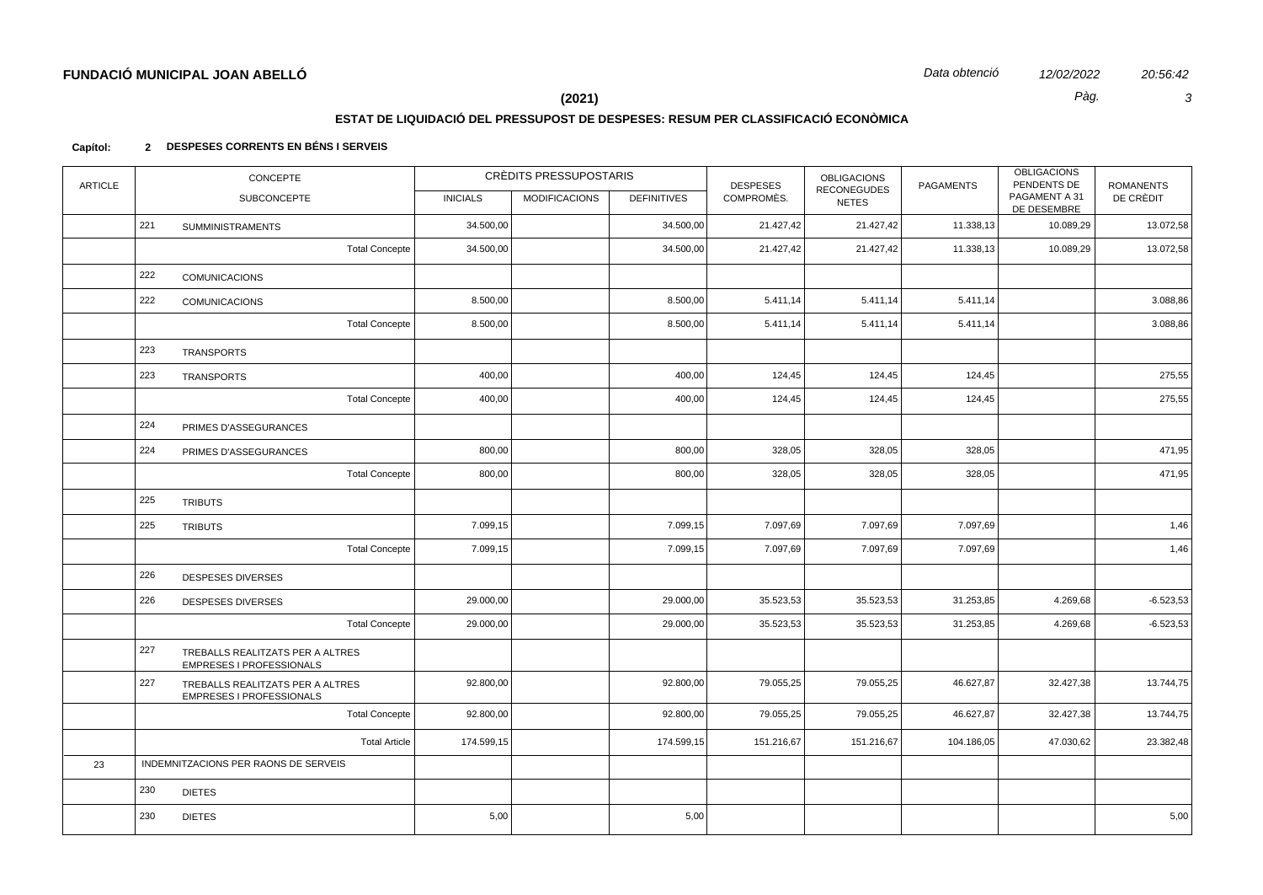20:56:42  $\mathbf{3}$ 

Pàg.

 $(2021)$ 

# ESTAT DE LIQUIDACIÓ DEL PRESSUPOST DE DESPESES: RESUM PER CLASSIFICACIÓ ECONÒMICA

### 2 DESPESES CORRENTS EN BÉNS I SERVEIS Capítol:

| <b>ARTICLE</b> |     | <b>CONCEPTE</b>                                                     |                 | <b>CRÈDITS PRESSUPOSTARIS</b> |                    |            | <b>OBLIGACIONS</b><br><b>RECONEGUDES</b> | <b>PAGAMENTS</b> | <b>OBLIGACIONS</b><br>PENDENTS DE | <b>ROMANENTS</b> |
|----------------|-----|---------------------------------------------------------------------|-----------------|-------------------------------|--------------------|------------|------------------------------------------|------------------|-----------------------------------|------------------|
|                |     | SUBCONCEPTE                                                         | <b>INICIALS</b> | <b>MODIFICACIONS</b>          | <b>DEFINITIVES</b> | COMPROMÈS. | <b>NETES</b>                             |                  | PAGAMENT A 31<br>DE DESEMBRE      | DE CRÈDIT        |
|                | 221 | <b>SUMMINISTRAMENTS</b>                                             | 34.500,00       |                               | 34.500,00          | 21.427,42  | 21.427,42                                | 11.338,13        | 10.089,29                         | 13.072,58        |
|                |     | <b>Total Concepte</b>                                               | 34.500,00       |                               | 34.500,00          | 21.427,42  | 21.427,42                                | 11.338,13        | 10.089,29                         | 13.072,58        |
|                | 222 | <b>COMUNICACIONS</b>                                                |                 |                               |                    |            |                                          |                  |                                   |                  |
|                | 222 | <b>COMUNICACIONS</b>                                                | 8.500,00        |                               | 8.500,00           | 5.411,14   | 5.411,14                                 | 5.411,14         |                                   | 3.088,86         |
|                |     | <b>Total Concepte</b>                                               | 8.500,00        |                               | 8.500,00           | 5.411,14   | 5.411,14                                 | 5.411,14         |                                   | 3.088,86         |
|                | 223 | <b>TRANSPORTS</b>                                                   |                 |                               |                    |            |                                          |                  |                                   |                  |
|                | 223 | <b>TRANSPORTS</b>                                                   | 400,00          |                               | 400,00             | 124,45     | 124,45                                   | 124,45           |                                   | 275,55           |
|                |     | <b>Total Concepte</b>                                               | 400,00          |                               | 400,00             | 124,45     | 124,45                                   | 124,45           |                                   | 275,55           |
|                | 224 | PRIMES D'ASSEGURANCES                                               |                 |                               |                    |            |                                          |                  |                                   |                  |
|                | 224 | PRIMES D'ASSEGURANCES                                               | 800,00          |                               | 800,00             | 328,05     | 328,05                                   | 328,05           |                                   | 471,95           |
|                |     | <b>Total Concepte</b>                                               | 800,00          |                               | 800,00             | 328,05     | 328,05                                   | 328,05           |                                   | 471,95           |
|                | 225 | <b>TRIBUTS</b>                                                      |                 |                               |                    |            |                                          |                  |                                   |                  |
|                | 225 | <b>TRIBUTS</b>                                                      | 7.099,15        |                               | 7.099,15           | 7.097,69   | 7.097,69                                 | 7.097,69         |                                   | 1,46             |
|                |     | <b>Total Concepte</b>                                               | 7.099,15        |                               | 7.099,15           | 7.097,69   | 7.097,69                                 | 7.097,69         |                                   | 1,46             |
|                | 226 | <b>DESPESES DIVERSES</b>                                            |                 |                               |                    |            |                                          |                  |                                   |                  |
|                | 226 | <b>DESPESES DIVERSES</b>                                            | 29.000,00       |                               | 29.000,00          | 35.523,53  | 35.523,53                                | 31.253,85        | 4.269,68                          | $-6.523,53$      |
|                |     | <b>Total Concepte</b>                                               | 29.000,00       |                               | 29.000,00          | 35.523,53  | 35.523,53                                | 31.253,85        | 4.269,68                          | $-6.523,53$      |
|                | 227 | TREBALLS REALITZATS PER A ALTRES<br><b>EMPRESES I PROFESSIONALS</b> |                 |                               |                    |            |                                          |                  |                                   |                  |
|                | 227 | TREBALLS REALITZATS PER A ALTRES<br>EMPRESES I PROFESSIONALS        | 92.800,00       |                               | 92.800,00          | 79.055,25  | 79.055,25                                | 46.627,87        | 32.427,38                         | 13.744,75        |
|                |     | <b>Total Concepte</b>                                               | 92.800,00       |                               | 92.800,00          | 79.055,25  | 79.055,25                                | 46.627,87        | 32.427,38                         | 13.744,75        |
|                |     | <b>Total Article</b>                                                | 174.599,15      |                               | 174.599,15         | 151.216,67 | 151.216,67                               | 104.186,05       | 47.030,62                         | 23.382,48        |
| 23             |     | INDEMNITZACIONS PER RAONS DE SERVEIS                                |                 |                               |                    |            |                                          |                  |                                   |                  |
|                | 230 | <b>DIETES</b>                                                       |                 |                               |                    |            |                                          |                  |                                   |                  |
|                | 230 | <b>DIETES</b>                                                       | 5,00            |                               | 5,00               |            |                                          |                  |                                   | 5,00             |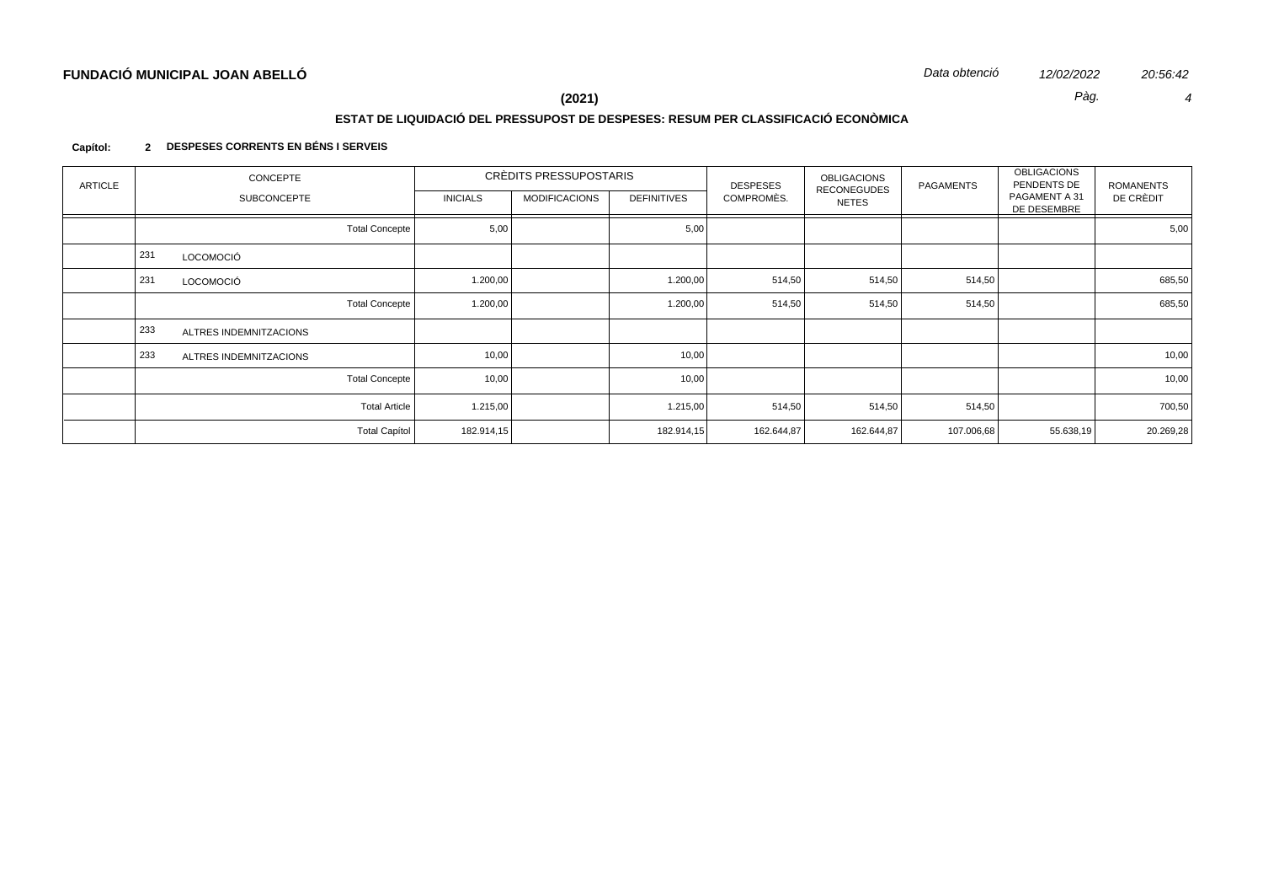# **ESTAT DE LIQUIDACIÓ DEL PRESSUPOST DE DESPESES: RESUM PER CLASSIFICACIÓ ECONÒMICA**

## **Capítol: 2 DESPESES CORRENTS EN BÉNS I SERVEIS**

| ARTICLE | CONCEPTE |                        | CRÈDITS PRESSUPOSTARIS |                 |                      | <b>DESPESES</b>    | <b>OBLIGACIONS</b><br><b>RECONEGUDES</b> | PAGAMENTS    | <b>OBLIGACIONS</b><br>PENDENTS DE | ROMANENTS                    |           |
|---------|----------|------------------------|------------------------|-----------------|----------------------|--------------------|------------------------------------------|--------------|-----------------------------------|------------------------------|-----------|
|         |          | <b>SUBCONCEPTE</b>     |                        | <b>INICIALS</b> | <b>MODIFICACIONS</b> | <b>DEFINITIVES</b> | COMPROMÈS.                               | <b>NETES</b> |                                   | PAGAMENT A 31<br>DE DESEMBRE | DE CRÈDIT |
|         |          |                        | <b>Total Concepte</b>  | 5,00            |                      | 5,00               |                                          |              |                                   |                              | 5,00      |
|         | 231      | LOCOMOCIÓ              |                        |                 |                      |                    |                                          |              |                                   |                              |           |
|         | 231      | LOCOMOCIÓ              |                        | 1.200,00        |                      | 1.200,00           | 514,50                                   | 514,50       | 514,50                            |                              | 685,50    |
|         |          |                        | Total Concepte         | 1.200,00        |                      | 1.200,00           | 514,50                                   | 514,50       | 514,50                            |                              | 685,50    |
|         | 233      | ALTRES INDEMNITZACIONS |                        |                 |                      |                    |                                          |              |                                   |                              |           |
|         | 233      | ALTRES INDEMNITZACIONS |                        | 10,00           |                      | 10,00              |                                          |              |                                   |                              | 10,00     |
|         |          |                        | <b>Total Concepte</b>  | 10,00           |                      | 10,00              |                                          |              |                                   |                              | 10,00     |
|         |          |                        | <b>Total Article</b>   | 1.215,00        |                      | 1.215,00           | 514,50                                   | 514,50       | 514,50                            |                              | 700,50    |
|         |          |                        | <b>Total Capítol</b>   | 182.914,15      |                      | 182.914,15         | 162.644,87                               | 162.644,87   | 107.006,68                        | 55.638,19                    | 20.269,28 |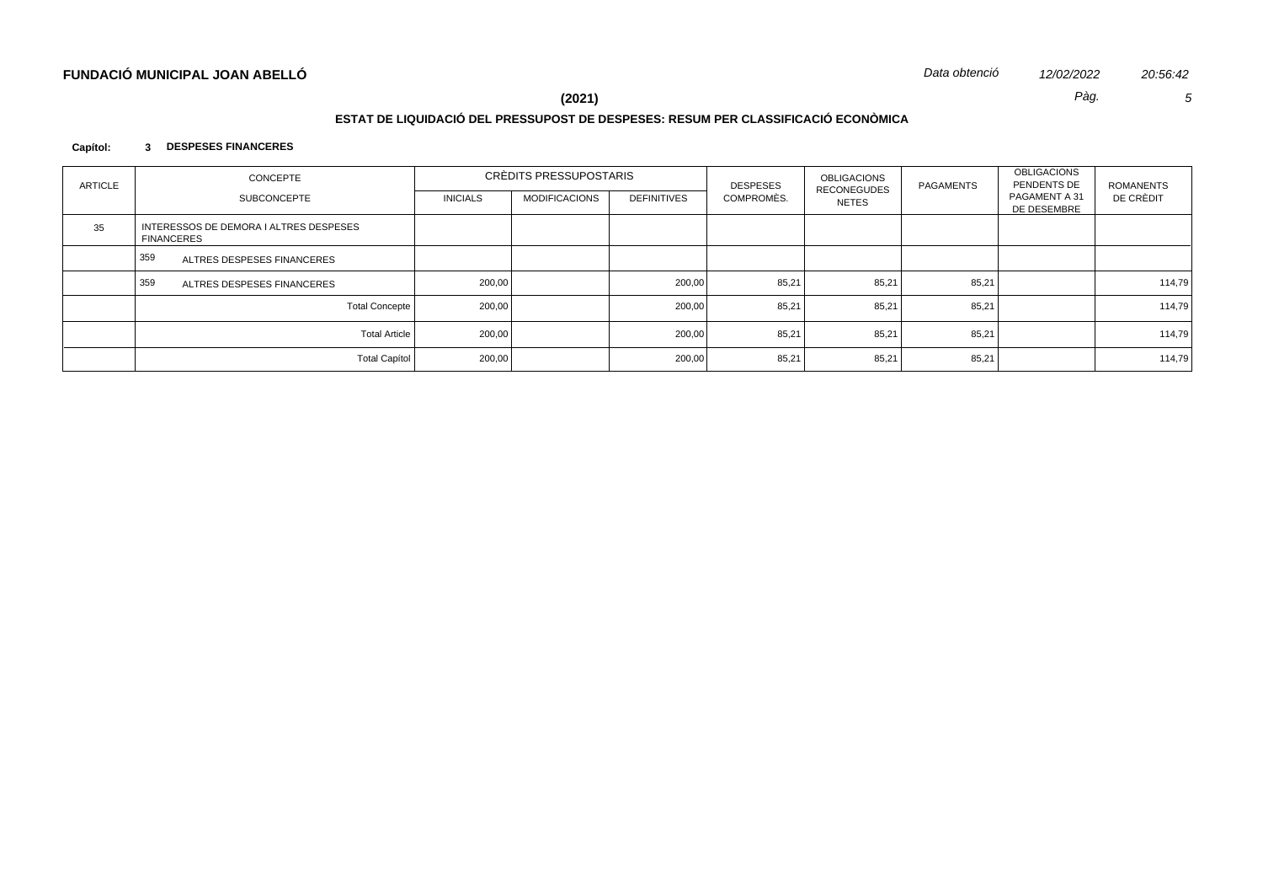# **ESTAT DE LIQUIDACIÓ DEL PRESSUPOST DE DESPESES: RESUM PER CLASSIFICACIÓ ECONÒMICA**

## **Capítol: 3 DESPESES FINANCERES**

| <b>ARTICLE</b> | CONCEPTE                                                    | CRÈDITS PRESSUPOSTARIS |                      |                    | <b>DESPESES</b> | <b>OBLIGACIONS</b>                 | <b>PAGAMENTS</b> | <b>OBLIGACIONS</b><br>PENDENTS DE | ROMANENTS |
|----------------|-------------------------------------------------------------|------------------------|----------------------|--------------------|-----------------|------------------------------------|------------------|-----------------------------------|-----------|
|                | <b>SUBCONCEPTE</b>                                          | <b>INICIALS</b>        | <b>MODIFICACIONS</b> | <b>DEFINITIVES</b> | COMPROMÈS.      | <b>RECONEGUDES</b><br><b>NETES</b> |                  | PAGAMENT A 31<br>DE DESEMBRE      | DE CRÈDIT |
| 35             | INTERESSOS DE DEMORA I ALTRES DESPESES<br><b>FINANCERES</b> |                        |                      |                    |                 |                                    |                  |                                   |           |
|                | 359<br>ALTRES DESPESES FINANCERES                           |                        |                      |                    |                 |                                    |                  |                                   |           |
|                | 359<br>ALTRES DESPESES FINANCERES                           | 200,00                 |                      | 200,00             | 85,21           | 85,21                              | 85,21            |                                   | 114,79    |
|                | Total Concepte                                              | 200,00                 |                      | 200,00             | 85,21           | 85,21                              | 85,21            |                                   | 114,79    |
|                | <b>Total Article</b>                                        | 200,00                 |                      | 200,00             | 85,21           | 85,21                              | 85,21            |                                   | 114,79    |
|                | <b>Total Capítol</b>                                        | 200,00                 |                      | 200,00             | 85,21           | 85,21                              | 85,21            |                                   | 114,79    |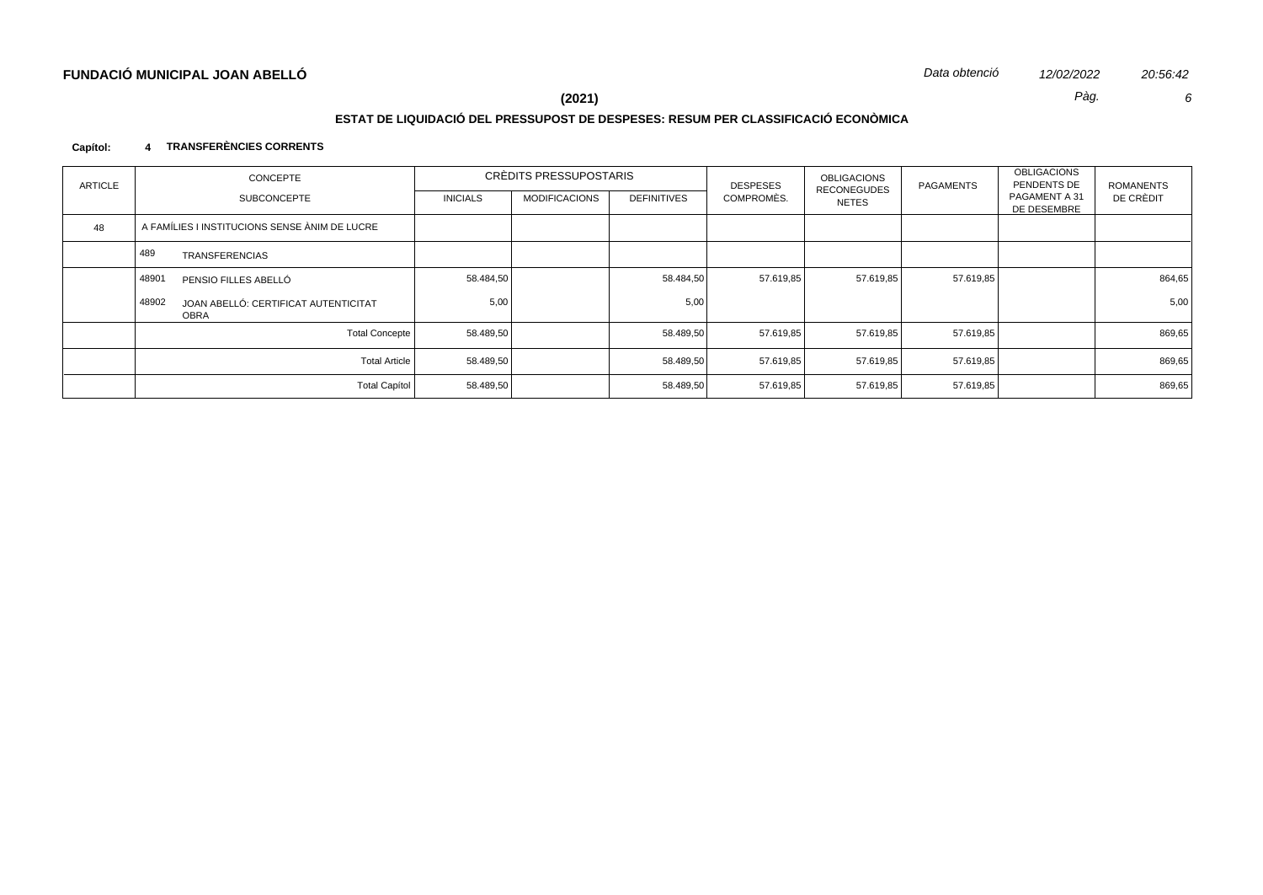# **ESTAT DE LIQUIDACIÓ DEL PRESSUPOST DE DESPESES: RESUM PER CLASSIFICACIÓ ECONÒMICA**

## **Capítol: 4 TRANSFERÈNCIES CORRENTS**

| <b>ARTICLE</b> | CONCEPTE |                                               | CRÈDITS PRESSUPOSTARIS |                      |             | <b>DESPESES</b> | <b>OBLIGACIONS</b><br><b>RECONEGUDES</b> | PAGAMENTS | <b>OBLIGACIONS</b><br>PENDENTS DE | <b>ROMANENTS</b> |
|----------------|----------|-----------------------------------------------|------------------------|----------------------|-------------|-----------------|------------------------------------------|-----------|-----------------------------------|------------------|
|                |          | <b>SUBCONCEPTE</b>                            | <b>INICIALS</b>        | <b>MODIFICACIONS</b> | DEFINITIVES | COMPROMÈS.      | NETES                                    |           | PAGAMENT A 31<br>DE DESEMBRE      | DE CRÈDIT        |
| 48             |          | A FAMÍLIES I INSTITUCIONS SENSE ÀNIM DE LUCRE |                        |                      |             |                 |                                          |           |                                   |                  |
|                | 489      | <b>TRANSFERENCIAS</b>                         |                        |                      |             |                 |                                          |           |                                   |                  |
|                | 48901    | PENSIO FILLES ABELLÓ                          | 58.484,50              |                      | 58.484,50   | 57.619,85       | 57.619,85                                | 57.619,85 |                                   | 864,65           |
|                | 48902    | JOAN ABELLÓ: CERTIFICAT AUTENTICITAT<br>OBRA  | 5,00                   |                      | 5,00        |                 |                                          |           |                                   | 5,00             |
|                |          | <b>Total Concepte</b>                         | 58.489,50              |                      | 58.489,50   | 57.619,85       | 57.619,85                                | 57.619,85 |                                   | 869,65           |
|                |          | <b>Total Article</b>                          | 58.489,50              |                      | 58.489,50   | 57.619,85       | 57.619,85                                | 57.619,85 |                                   | 869,65           |
|                |          | Total Capítol                                 | 58.489,50              |                      | 58.489,50   | 57.619,85       | 57.619,85                                | 57.619,85 |                                   | 869,65           |